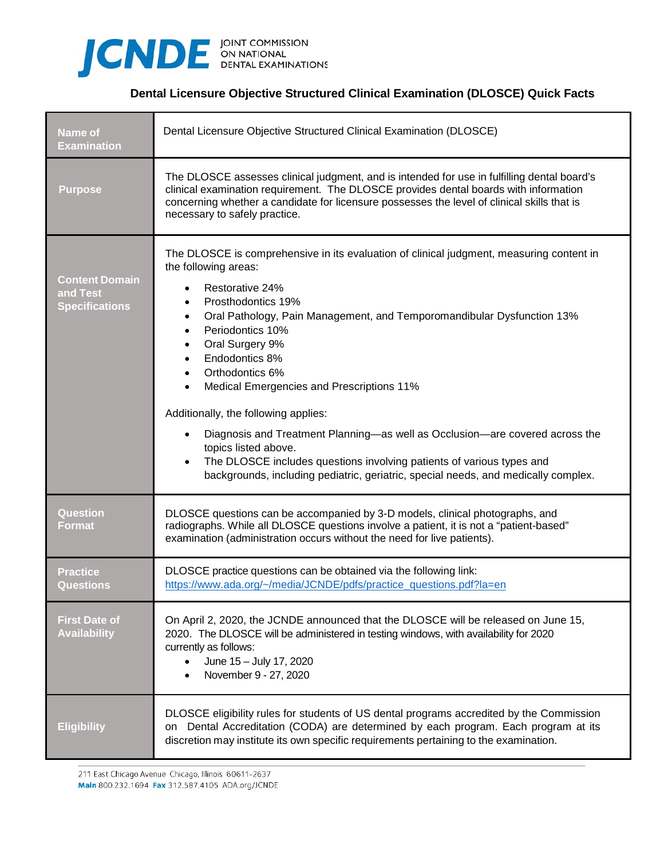

## **Dental Licensure Objective Structured Clinical Examination (DLOSCE) Quick Facts**

| <b>Name of</b><br><b>Examination</b>                       | Dental Licensure Objective Structured Clinical Examination (DLOSCE)                                                                                                                                                                                                                                                                                                                                                                                                                                                                                                                                                                                                                                                             |
|------------------------------------------------------------|---------------------------------------------------------------------------------------------------------------------------------------------------------------------------------------------------------------------------------------------------------------------------------------------------------------------------------------------------------------------------------------------------------------------------------------------------------------------------------------------------------------------------------------------------------------------------------------------------------------------------------------------------------------------------------------------------------------------------------|
| <b>Purpose</b>                                             | The DLOSCE assesses clinical judgment, and is intended for use in fulfilling dental board's<br>clinical examination requirement. The DLOSCE provides dental boards with information<br>concerning whether a candidate for licensure possesses the level of clinical skills that is<br>necessary to safely practice.                                                                                                                                                                                                                                                                                                                                                                                                             |
| <b>Content Domain</b><br>and Test<br><b>Specifications</b> | The DLOSCE is comprehensive in its evaluation of clinical judgment, measuring content in<br>the following areas:<br>Restorative 24%<br>Prosthodontics 19%<br>Oral Pathology, Pain Management, and Temporomandibular Dysfunction 13%<br>$\bullet$<br>Periodontics 10%<br>$\bullet$<br>Oral Surgery 9%<br>$\bullet$<br>Endodontics 8%<br>Orthodontics 6%<br>Medical Emergencies and Prescriptions 11%<br>$\bullet$<br>Additionally, the following applies:<br>Diagnosis and Treatment Planning—as well as Occlusion—are covered across the<br>topics listed above.<br>The DLOSCE includes questions involving patients of various types and<br>backgrounds, including pediatric, geriatric, special needs, and medically complex. |
| Question<br><b>Format</b>                                  | DLOSCE questions can be accompanied by 3-D models, clinical photographs, and<br>radiographs. While all DLOSCE questions involve a patient, it is not a "patient-based"<br>examination (administration occurs without the need for live patients).                                                                                                                                                                                                                                                                                                                                                                                                                                                                               |
| <b>Practice</b><br><b>Questions</b>                        | DLOSCE practice questions can be obtained via the following link:<br>https://www.ada.org/~/media/JCNDE/pdfs/practice_questions.pdf?la=en                                                                                                                                                                                                                                                                                                                                                                                                                                                                                                                                                                                        |
| <b>First Date of</b><br><b>Availability</b>                | On April 2, 2020, the JCNDE announced that the DLOSCE will be released on June 15,<br>2020. The DLOSCE will be administered in testing windows, with availability for 2020<br>currently as follows:<br>June 15 - July 17, 2020<br>November 9 - 27, 2020                                                                                                                                                                                                                                                                                                                                                                                                                                                                         |
| <b>Eligibility</b>                                         | DLOSCE eligibility rules for students of US dental programs accredited by the Commission<br>on Dental Accreditation (CODA) are determined by each program. Each program at its<br>discretion may institute its own specific requirements pertaining to the examination.                                                                                                                                                                                                                                                                                                                                                                                                                                                         |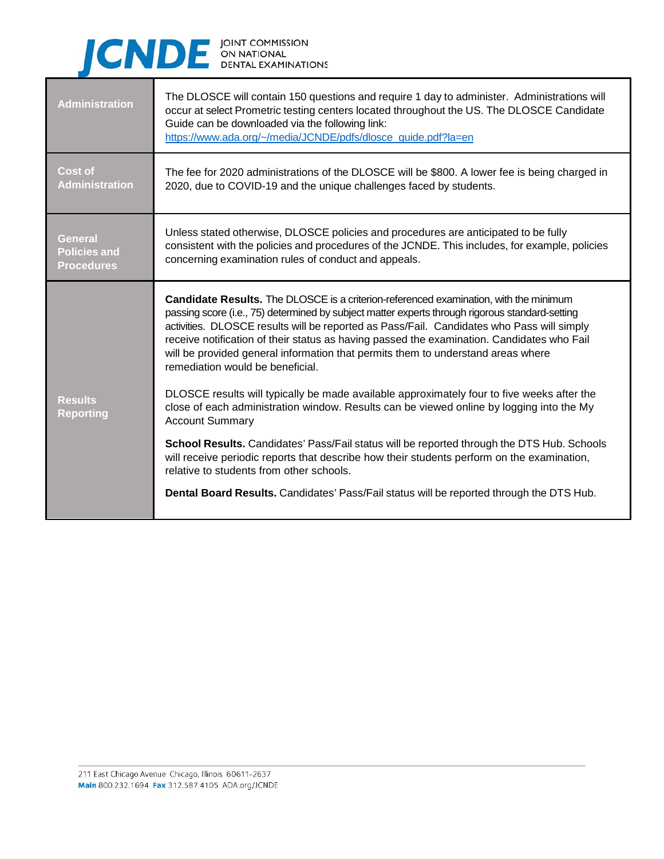## CNDE ON NATIONAL EXAMINATIONS

| <b>Administration</b>                                      | The DLOSCE will contain 150 questions and require 1 day to administer. Administrations will<br>occur at select Prometric testing centers located throughout the US. The DLOSCE Candidate<br>Guide can be downloaded via the following link:<br>https://www.ada.org/~/media/JCNDE/pdfs/dlosce_guide.pdf?la=en                                                                                                                                                                                                |
|------------------------------------------------------------|-------------------------------------------------------------------------------------------------------------------------------------------------------------------------------------------------------------------------------------------------------------------------------------------------------------------------------------------------------------------------------------------------------------------------------------------------------------------------------------------------------------|
| <b>Cost of</b><br><b>Administration</b>                    | The fee for 2020 administrations of the DLOSCE will be \$800. A lower fee is being charged in<br>2020, due to COVID-19 and the unique challenges faced by students.                                                                                                                                                                                                                                                                                                                                         |
| <b>General</b><br><b>Policies and</b><br><b>Procedures</b> | Unless stated otherwise, DLOSCE policies and procedures are anticipated to be fully<br>consistent with the policies and procedures of the JCNDE. This includes, for example, policies<br>concerning examination rules of conduct and appeals.                                                                                                                                                                                                                                                               |
|                                                            | Candidate Results. The DLOSCE is a criterion-referenced examination, with the minimum<br>passing score (i.e., 75) determined by subject matter experts through rigorous standard-setting<br>activities. DLOSCE results will be reported as Pass/Fail. Candidates who Pass will simply<br>receive notification of their status as having passed the examination. Candidates who Fail<br>will be provided general information that permits them to understand areas where<br>remediation would be beneficial. |
| <b>Results</b><br><b>Reporting</b>                         | DLOSCE results will typically be made available approximately four to five weeks after the<br>close of each administration window. Results can be viewed online by logging into the My<br><b>Account Summary</b>                                                                                                                                                                                                                                                                                            |
|                                                            | School Results. Candidates' Pass/Fail status will be reported through the DTS Hub. Schools<br>will receive periodic reports that describe how their students perform on the examination,<br>relative to students from other schools.                                                                                                                                                                                                                                                                        |
|                                                            | Dental Board Results. Candidates' Pass/Fail status will be reported through the DTS Hub.                                                                                                                                                                                                                                                                                                                                                                                                                    |